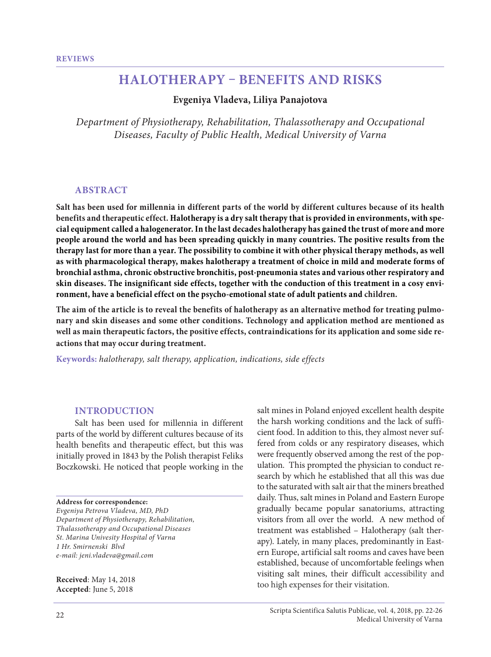# **HALOTHERAPY – BENEFITS AND RISKS**

# **Evgeniya Vladeva, Liliya Panajotova**

*Department оf Physiotherapy, Rehabilitation, Thalassotherapy аnd Occupational Diseases, Faculty оf Public Health, Medical University оf Varna*

#### **ABSTRACT**

**Salt has been used for millennia in different parts of the world by different cultures because of its health benefits and therapeutic effect. Halotherapy is a dry salt therapy that is provided in environments, with special equipment called a halogenerator. In the last decades halotherapy has gained the trust of more and more people around the world and has been spreading quickly in many countries. The positive results from the therapy last for more than a year. The possibility to combine it with other physical therapy methods, as well as with pharmacological therapy, makes halotherapy a treatment of choice in mild and moderate forms of bronchial asthma, chronic obstructive bronchitis, post-pneumonia states and various other respiratory and skin diseases. The insignificant side effects, together with the conduction of this treatment in a cosy environment, have a beneficial effect on the psycho-emotional state of adult patients and children.**

**The aim of the article is to reveal the benefits of halotherapy as an alternative method for treating pulmonary and skin diseases and some other conditions. Technology and application method are mentioned as well as main therapeutic factors, the positive effects, contraindications for its application and some side reactions that may occur during treatment.**

**Keywords:** *halotherapy, salt therapy, application, indications, side effects*

#### **INTRODUCTION**

Salt has been used for millennia in different parts of the world by different cultures because of its health benefits and therapeutic effect, but this was initially proved in 1843 by the Polish therapist Feliks Boczkowski. He noticed that people working in the

#### **Address for correspondence:**

*Evgeniya Petrova Vladeva, MD, PhD Department of Physiotherapy, Rehabilitation, Thalassotherapy and Occupational Diseases St. Marina Univesity Hospital of Varna 1 Hr. Smirnenski Blvd e-mail: jeni.vladeva@gmail.com*

**Received**: May 14, 2018 **Accepted**: June 5, 2018

salt mines in Poland enjoyed excellent health despite the harsh working conditions and the lack of sufficient food. In addition to this, they almost never suffered from colds or any respiratory diseases, which were frequently observed among the rest of the population. This prompted the physician to conduct research by which he established that all this was due to the saturated with salt air that the miners breathed daily. Thus, salt mines in Poland and Eastern Europe gradually became popular sanatoriums, attracting visitors from all over the world. A new method of treatment was established – Halotherapy (salt therapy). Lately, in many places, predominantly in Eastern Europe, artificial salt rooms and caves have been established, because of uncomfortable feelings when visiting salt mines, their difficult accessibility and too high expenses for their visitation.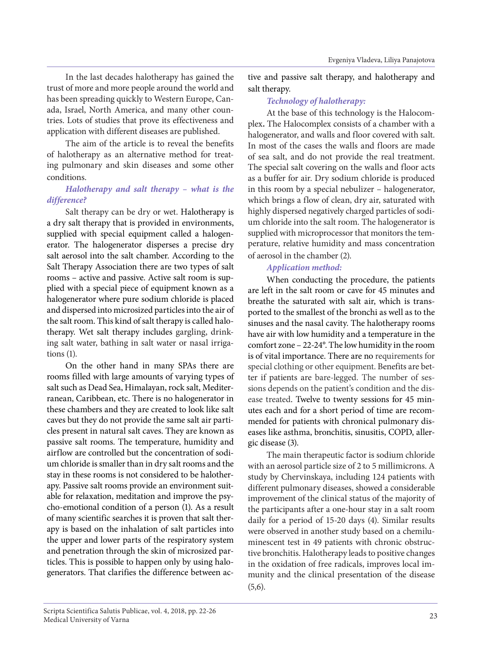In the last decades halotherapy has gained the trust of more and more people around the world and has been spreading quickly to Western Europe, Canada, Israel, North America, and many other countries. Lots of studies that prove its effectiveness and application with different diseases are published.

The aim of the article is to reveal the benefits of halotherapy as an alternative method for treating pulmonary and skin diseases and some other conditions.

# *Halotherapy and salt therapy – what is the difference?*

Salt therapy can be dry or wet. Halotherapy is a dry salt therapy that is provided in environments, supplied with special equipment called a halogenerator. The halogenerator disperses a precise dry salt aerosol into the salt chamber. According to the Salt Therapy Association there are two types of salt rooms – active and passive. Active salt room is supplied with a special piece of equipment known as a halogenerator where pure sodium chloride is placed and dispersed into microsized particles into the air of the salt room. This kind of salt therapy is called halotherapy. Wet salt therapy includes gargling, drinking salt water, bathing in salt water or nasal irrigations (1).

On the other hand in many SPAs there are rooms filled with large amounts of varying types of salt such as Dead Sea, Himalayan, rock salt, Mediterranean, Caribbean, etc. There is no halogenerator in these chambers and they are created to look like salt caves but they do not provide the same salt air particles present in natural salt caves. They are known as passive salt rooms. The temperature, humidity and airflow are controlled but the concentration of sodium chloride is smaller than in dry salt rooms and the stay in these rooms is not considered to be halotherapy. Passive salt rooms provide an environment suitable for relaxation, meditation and improve the psycho-emotional condition of a person (1). As a result of many scientific searches it is proven that salt therapy is based on the inhalation of salt particles into the upper and lower parts of the respiratory system and penetration through the skin of microsized particles. This is possible to happen only by using halogenerators. That clarifies the difference between active and passive salt therapy, and halotherapy and salt therapy.

# *Technology of halotherapy:*

At the base of this technology is the Halocomplex**.** The Halocomplex consists of a chamber with a halogenerator, and walls and floor covered with salt. In most of the cases the walls and floors are made of sea salt, and do not provide the real treatment. The special salt covering on the walls and floor acts as a buffer for air. Dry sodium chloride is produced in this room by a special nebulizer – halogenerator, which brings a flow of clean, dry air, saturated with highly dispersed negatively charged particles of sodium chloride into the salt room. The halogenerator is supplied with microprocessor that monitors the temperature, relative humidity and mass concentration of aerosol in the chamber (2).

# *Application method:*

When conducting the procedure, the patients are left in the salt room or cave for 45 minutes and breathe the saturated with salt air, which is transported to the smallest of the bronchi as well as to the sinuses and the nasal cavity. The halotherapy rooms have air with low humidity and a temperature in the comfort zone – 22-24°. The low humidity in the room is of vital importance. There are no requirements for special clothing or other equipment. Benefits are better if patients are bare-legged. The number of sessions depends on the patient's condition and the disease treated. Twelve to twenty sessions for 45 minutes each and for a short period of time are recommended for patients with chronical pulmonary diseases like asthma, bronchitis, sinusitis, COPD, allergic disease (3).

The main therapeutic factor is sodium chloride with an aerosol particle size of 2 to 5 millimicrons. A study by Chervinskaya, including 124 patients with different pulmonary diseases, showed a considerable improvement of the clinical status of the majority of the participants after a one-hour stay in a salt room daily for a period of 15-20 days (4). Similar results were observed in another study based on a chemiluminescent test in 49 patients with chronic obstructive bronchitis. Halotherapy leads to positive changes in the oxidation of free radicals, improves local immunity and the clinical presentation of the disease  $(5,6)$ .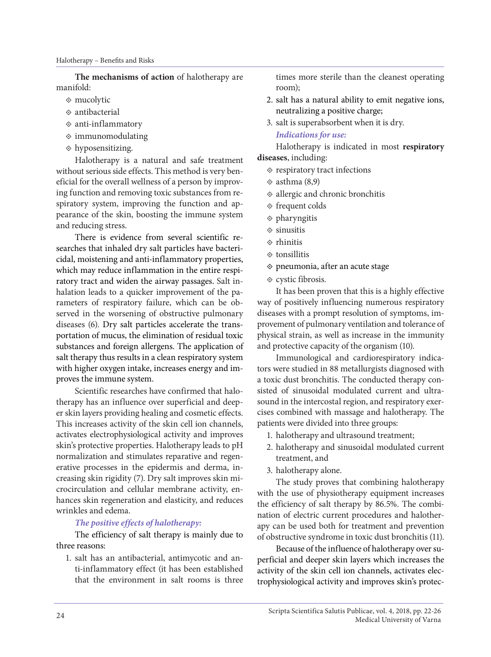**The mechanisms of action** of halotherapy are manifold:

- mucolytic
- $\diamond$  antibacterial
- anti-inflammatory
- $\diamond$  immunomodulating
- hyposensitizing.

Halotherapy is a natural and safe treatment without serious side effects. This method is very beneficial for the overall wellness of a person by improving function and removing toxic substances from respiratory system, improving the function and appearance of the skin, boosting the immune system and reducing stress.

There is evidence from several scientific researches that inhaled dry salt particles have bactericidal, moistening and anti-inflammatory properties, which may reduce inflammation in the entire respiratory tract and widen the airway passages. Salt inhalation leads to a quicker improvement of the parameters of respiratory failure, which can be observed in the worsening of obstructive pulmonary diseases (6). Dry salt particles accelerate the transportation of mucus, the elimination of residual toxic substances and foreign allergens. The application of salt therapy thus results in a clean respiratory system with higher oxygen intake, increases energy and improves the immune system.

Scientific researches have confirmed that halotherapy has an influence over superficial and deeper skin layers providing healing and cosmetic effects. This increases activity of the skin cell ion channels, activates electrophysiological activity and improves skin's protective properties. Halotherapy leads to pH normalization and stimulates reparative and regenerative processes in the epidermis and derma, increasing skin rigidity (7). Dry salt improves skin microcirculation and cellular membrane activity, enhances skin regeneration and elasticity, and reduces wrinkles and edema.

# *The positive effects of halotherapy:*

The efficiency of salt therapy is mainly due to three reasons:

1. salt has an antibacterial, antimycotic and anti-inflammatory effect (it has been established that the environment in salt rooms is three

times more sterile than the cleanest operating room);

- 2. salt has a natural ability to emit negative ions, neutralizing a positive charge;
- 3. salt is superabsorbent when it is dry.

# *Indications for use:*

Halotherapy is indicated in most **respiratory diseases**, including:

- $\Leftrightarrow$  respiratory tract infections
- $\text{\textdegree}$  asthma (8,9)
- allergic and chronic bronchitis
- $\diamond$  frequent colds
- $\diamond$  pharyngitis
- $\diamond$  sinusitis
- $\diamond$  rhinitis
- $\diamond$  tonsillitis
- $\diamond$  pneumonia, after an acute stage
- $\diamond$  cystic fibrosis.

It has been proven that this is a highly effective way of positively influencing numerous respiratory diseases with a prompt resolution of symptoms, improvement of pulmonary ventilation and tolerance of physical strain, as well as increase in the immunity and protective capacity of the organism (10).

Immunological and cardiorespiratory indicators were studied in 88 metallurgists diagnosed with a toxic dust bronchitis. The conducted therapy consisted of sinusoidal modulated current and ultrasound in the intercostal region, and respiratory exercises combined with massage and halotherapy. The patients were divided into three groups:

- 1. halotherapy and ultrasound treatment;
- 2. halotherapy and sinusoidal modulated current treatment, and
- 3. halotherapy alone.

The study proves that combining halotherapy with the use of physiotherapy equipment increases the efficiency of salt therapy by 86.5%. The combination of electric current procedures and halotherapy can be used both for treatment and prevention of obstructive syndrome in toxic dust bronchitis (11).

Because of the influence of halotherapy over superficial and deeper skin layers which increases the activity of the skin cell ion channels, activates electrophysiological activity and improves skin's protec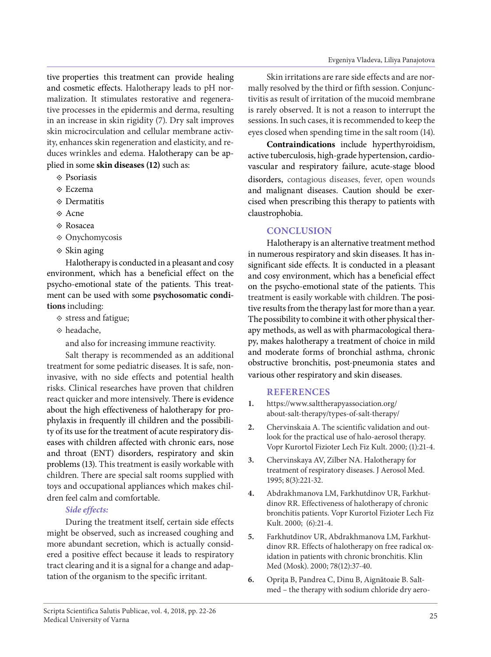tive properties this treatment can provide healing and cosmetic effects. Halotherapy leads to pH normalization. It stimulates restorative and regenerative processes in the epidermis and derma, resulting in an increase in skin rigidity (7). Dry salt improves skin microcirculation and cellular membrane activity, enhances skin regeneration and elasticity, and reduces wrinkles and edema. Halotherapy can be applied in some **skin diseases (12)** such as:

- Psoriasis
- Eczema
- **♦** Dermatitis
- $\Diamond$  Acne
- Rosacea
- Onychomycosis
- $\diamond$  Skin aging

Halotherapy is conducted in a pleasant and cosy environment, which has a beneficial effect on the psycho-emotional state of the patients. This treatment can be used with some **psychosomatic conditions** including:

- $\diamond$  stress and fatigue;
- headache,

and also for increasing immune reactivity.

Salt therapy is recommended as an additional treatment for some pediatric diseases. It is safe, noninvasive, with no side effects and potential health risks. Clinical researches have proven that children react quicker and more intensively. There is evidence about the high effectiveness of halotherapy for prophylaxis in frequently ill children and the possibility of its use for the treatment of acute respiratory diseases with children affected with chronic ears, nose and throat (ENT) disorders, respiratory and skin problems (13). This treatment is easily workable with children. There are special salt rooms supplied with toys and occupational appliances which makes children feel calm and comfortable.

# *Side effects:*

During the treatment itself, certain side effects might be observed, such as increased coughing and more abundant secretion, which is actually considered a positive effect because it leads to respiratory tract clearing and it is a signal for a change and adaptation of the organism to the specific irritant.

Skin irritations are rare side effects and are normally resolved by the third or fifth session. Conjunctivitis as result of irritation of the mucoid membrane is rarely observed. It is not a reason to interrupt the sessions. In such cases, it is recommended to keep the eyes closed when spending time in the salt room (14).

**Contraindications** include hyperthyroidism, active tuberculosis, high-grade hypertension, cardiovascular and respiratory failure, acute-stage blood disorders, contagious diseases, fever, open wounds and malignant diseases. Caution should be exercised when prescribing this therapy to patients with claustrophobia.

# **CONCLUSION**

Halotherapy is an alternative treatment method in numerous respiratory and skin diseases. It has insignificant side effects. It is conducted in a pleasant and cosy environment, which has a beneficial effect on the psycho-emotional state of the patients. This treatment is easily workable with children. The positive results from the therapy last for more than a year. The possibility to combine it with other physical therapy methods, as well as with pharmacological therapy, makes halotherapy a treatment of choice in mild and moderate forms of bronchial asthma, chronic obstructive bronchitis, post-pneumonia states and various other respiratory and skin diseases.

#### **REFERENCES**

- **1.** https://www.salttherapyassociation.org/ about-salt-therapy/types-of-salt-therapy/
- **2.** Chervinskaia A. The scientific validation and outlook for the practical use of halo-aerosol therapy. Vopr Kurortol Fizioter Lech Fiz Kult. 2000; (1):21-4.
- **3.** Chervinskaya AV, Zilber NA. Halotherapy for treatment of respiratory diseases. J Aerosol Med. 1995; 8(3):221-32.
- **4.** Abdrakhmanova LM, Farkhutdinov UR, Farkhutdinov RR. Effectiveness of halotherapy of chronic bronchitis patients. Vopr Kurortol Fizioter Lech Fiz Kult. 2000; (6):21-4.
- **5.** Farkhutdinov UR, Abdrakhmanova LM, Farkhutdinov RR. Effects of halotherapy on free radical oxidation in patients with chronic bronchitis. Klin Med (Mosk). 2000; 78(12):37-40.
- **6.** Opriţa B, Pandrea C, Dinu B, Aignătoaie B. Saltmed – the therapy with sodium chloride dry aero-